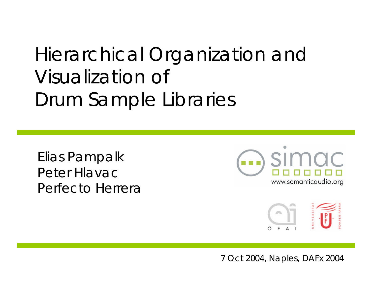# Hierarchical Organization and Visualization of Drum Sample Libraries

Elias Pampalk Peter Hlavac Perfecto Herrera





7 Oct 2004, Naples, DAFx 2004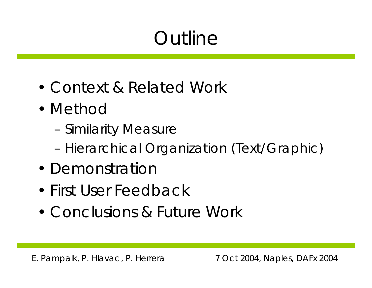# **Outline**

- Context & Related Work
- Method
	- Similarity Measure
	- Hierarchical Organization (Text/Graphic)
- Demonstration
- First User Feedback
- Conclusions & Future Work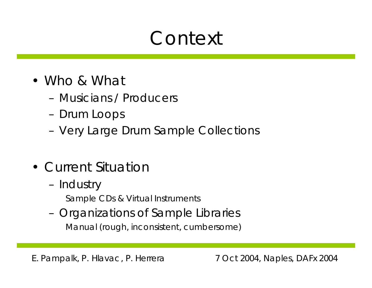# Context

- Who & What
	- Musicians / Producers
	- Drum Loops
	- Very Large Drum Sample Collections
- Current Situation
	- Industry

Sample CDs & Virtual Instruments

– Organizations of Sample Libraries Manual (rough, inconsistent, cumbersome)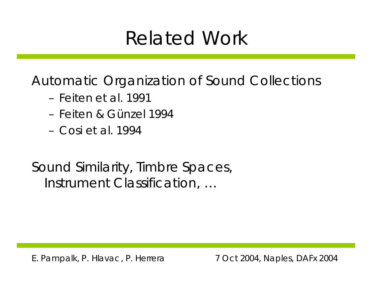### Related Work

Automatic Organization of Sound Collections

- Feiten et al. 1991
- Feiten & Günzel 1994
- Cosi et al. 1994

Sound Similarity, Timbre Spaces, Instrument Classification, …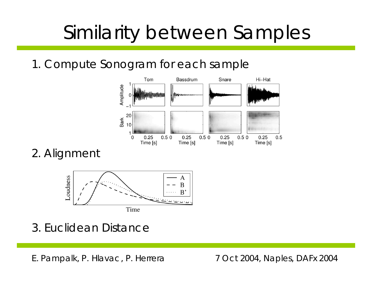### Similarity between Samples

#### 1. Compute Sonogram for each sample



2. Alignment



#### 3. Euclidean Distance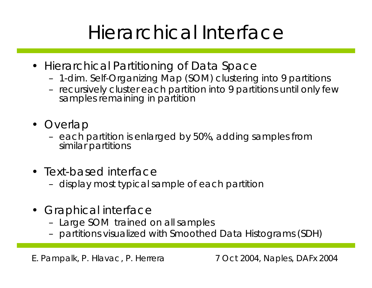## Hierarchical Interface

- Hierarchical Partitioning of Data Space
	- 1-dim. Self-Organizing Map (SOM) clustering into 9 partitions
	- recursively cluster each partition into 9 partitions until only few samples remaining in partition
- Overlap
	- each partition is enlarged by 50%, adding samples from similar partitions
- Text-based interface
	- display most typical sample of each partition
- Graphical interface
	- Large SOM trained on all samples
	- partitions visualized with Smoothed Data Histograms (SDH)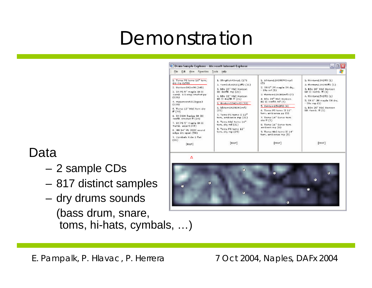#### Data

- 2 sample CDs
- 817 distinct samples
- dry drums sounds (bass drum, snare, toms, hi-hats, cymbals, …)



Demonstration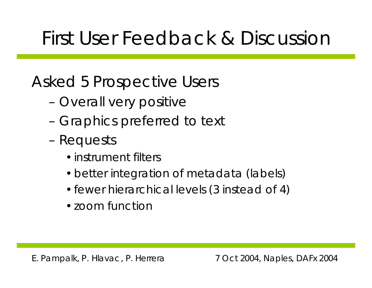# First User Feedback & Discussion

### Asked 5 Prospective Users

- Overall very positive
- Graphics preferred to text
- Requests
	- •instrument filters
	- better integration of metadata (labels)
	- •fewer hierarchical levels (3 instead of 4)
	- •zoom function